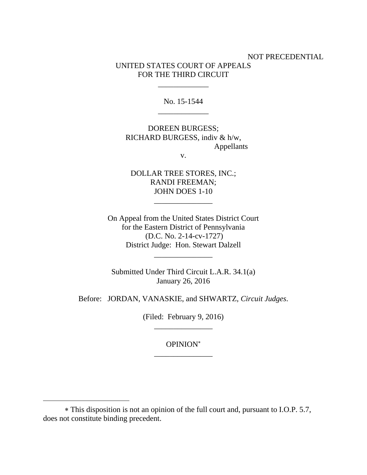# NOT PRECEDENTIAL UNITED STATES COURT OF APPEALS FOR THE THIRD CIRCUIT

No. 15-1544 \_\_\_\_\_\_\_\_\_\_\_\_\_

\_\_\_\_\_\_\_\_\_\_\_\_\_

DOREEN BURGESS; RICHARD BURGESS, indiv & h/w, Appellants

v.

DOLLAR TREE STORES, INC.; RANDI FREEMAN; JOHN DOES 1-10

\_\_\_\_\_\_\_\_\_\_\_\_\_\_\_

On Appeal from the United States District Court for the Eastern District of Pennsylvania (D.C. No. 2-14-cv-1727) District Judge: Hon. Stewart Dalzell

Submitted Under Third Circuit L.A.R. 34.1(a) January 26, 2016

\_\_\_\_\_\_\_\_\_\_\_\_\_\_\_

Before: JORDAN, VANASKIE, and SHWARTZ, *Circuit Judges*.

(Filed: February 9, 2016)

 $\mathcal{L}_\text{max}$  and  $\mathcal{L}_\text{max}$  are the set of the set of the set of the set of the set of the set of the set of the set of the set of the set of the set of the set of the set of the set of the set of the set of the set o

 $\mathcal{L}_\text{max}$  and  $\mathcal{L}_\text{max}$  and  $\mathcal{L}_\text{max}$  and  $\mathcal{L}_\text{max}$ 

 $\overline{a}$ 

## OPINION

This disposition is not an opinion of the full court and, pursuant to I.O.P. 5.7, does not constitute binding precedent.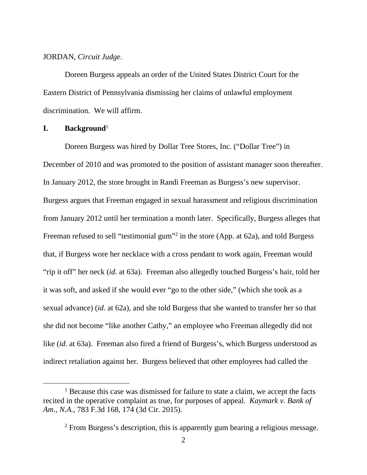### JORDAN, *Circuit Judge*.

 Doreen Burgess appeals an order of the United States District Court for the Eastern District of Pennsylvania dismissing her claims of unlawful employment discrimination. We will affirm.

#### **I. Background**<sup>1</sup>

Doreen Burgess was hired by Dollar Tree Stores, Inc. ("Dollar Tree") in December of 2010 and was promoted to the position of assistant manager soon thereafter. In January 2012, the store brought in Randi Freeman as Burgess's new supervisor. Burgess argues that Freeman engaged in sexual harassment and religious discrimination from January 2012 until her termination a month later. Specifically, Burgess alleges that Freeman refused to sell "testimonial gum"<sup>2</sup> in the store (App. at 62a), and told Burgess that, if Burgess wore her necklace with a cross pendant to work again, Freeman would "rip it off" her neck (*id.* at 63a). Freeman also allegedly touched Burgess's hair, told her it was soft, and asked if she would ever "go to the other side," (which she took as a sexual advance) (*id*. at 62a), and she told Burgess that she wanted to transfer her so that she did not become "like another Cathy," an employee who Freeman allegedly did not like (*id*. at 63a). Freeman also fired a friend of Burgess's, which Burgess understood as indirect retaliation against her. Burgess believed that other employees had called the

<sup>&</sup>lt;u>1</u>  $<sup>1</sup>$  Because this case was dismissed for failure to state a claim, we accept the facts</sup> recited in the operative complaint as true, for purposes of appeal. *Kaymark v. Bank of Am., N.A.*, 783 F.3d 168, 174 (3d Cir. 2015).

<sup>&</sup>lt;sup>2</sup> From Burgess's description, this is apparently gum bearing a religious message.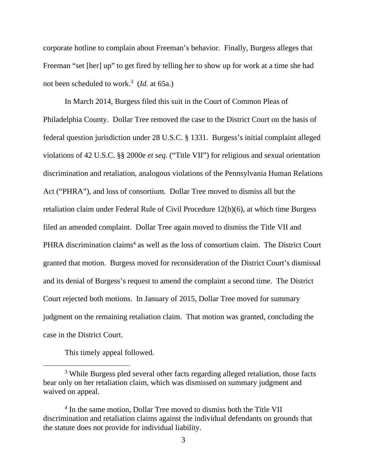corporate hotline to complain about Freeman's behavior. Finally, Burgess alleges that Freeman "set [her] up" to get fired by telling her to show up for work at a time she had not been scheduled to work.3 (*Id.* at 65a.)

 In March 2014, Burgess filed this suit in the Court of Common Pleas of Philadelphia County. Dollar Tree removed the case to the District Court on the basis of federal question jurisdiction under 28 U.S.C. § 1331. Burgess's initial complaint alleged violations of 42 U.S.C. §§ 2000e *et seq*. ("Title VII") for religious and sexual orientation discrimination and retaliation, analogous violations of the Pennsylvania Human Relations Act ("PHRA"), and loss of consortium. Dollar Tree moved to dismiss all but the retaliation claim under Federal Rule of Civil Procedure 12(b)(6), at which time Burgess filed an amended complaint. Dollar Tree again moved to dismiss the Title VII and PHRA discrimination claims<sup>4</sup> as well as the loss of consortium claim. The District Court granted that motion. Burgess moved for reconsideration of the District Court's dismissal and its denial of Burgess's request to amend the complaint a second time. The District Court rejected both motions. In January of 2015, Dollar Tree moved for summary judgment on the remaining retaliation claim. That motion was granted, concluding the case in the District Court.

This timely appeal followed.

 $\overline{\phantom{a}}$  3 <sup>3</sup> While Burgess pled several other facts regarding alleged retaliation, those facts bear only on her retaliation claim, which was dismissed on summary judgment and waived on appeal.

<sup>&</sup>lt;sup>4</sup> In the same motion, Dollar Tree moved to dismiss both the Title VII discrimination and retaliation claims against the individual defendants on grounds that the statute does not provide for individual liability.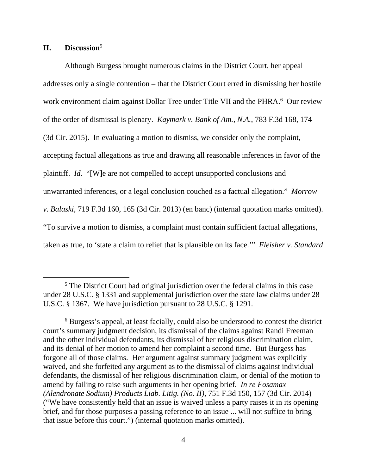## **II. Discussion**<sup>5</sup>

Although Burgess brought numerous claims in the District Court, her appeal addresses only a single contention – that the District Court erred in dismissing her hostile work environment claim against Dollar Tree under Title VII and the PHRA.<sup>6</sup> Our review of the order of dismissal is plenary. *Kaymark v. Bank of Am., N.A.*, 783 F.3d 168, 174 (3d Cir. 2015). In evaluating a motion to dismiss, we consider only the complaint, accepting factual allegations as true and drawing all reasonable inferences in favor of the plaintiff. *Id.* "[W]e are not compelled to accept unsupported conclusions and unwarranted inferences, or a legal conclusion couched as a factual allegation." *Morrow v. Balaski*, 719 F.3d 160, 165 (3d Cir. 2013) (en banc) (internal quotation marks omitted). "To survive a motion to dismiss, a complaint must contain sufficient factual allegations, taken as true, to 'state a claim to relief that is plausible on its face.'" *Fleisher v. Standard* 

 $\frac{1}{5}$ <sup>5</sup> The District Court had original jurisdiction over the federal claims in this case under 28 U.S.C. § 1331 and supplemental jurisdiction over the state law claims under 28 U.S.C. § 1367. We have jurisdiction pursuant to 28 U.S.C. § 1291.

<sup>6</sup> Burgess's appeal, at least facially, could also be understood to contest the district court's summary judgment decision, its dismissal of the claims against Randi Freeman and the other individual defendants, its dismissal of her religious discrimination claim, and its denial of her motion to amend her complaint a second time. But Burgess has forgone all of those claims. Her argument against summary judgment was explicitly waived, and she forfeited any argument as to the dismissal of claims against individual defendants, the dismissal of her religious discrimination claim, or denial of the motion to amend by failing to raise such arguments in her opening brief. *In re Fosamax (Alendronate Sodium) Products Liab. Litig. (No. II)*, 751 F.3d 150, 157 (3d Cir. 2014) ("We have consistently held that an issue is waived unless a party raises it in its opening brief, and for those purposes a passing reference to an issue ... will not suffice to bring that issue before this court.") (internal quotation marks omitted).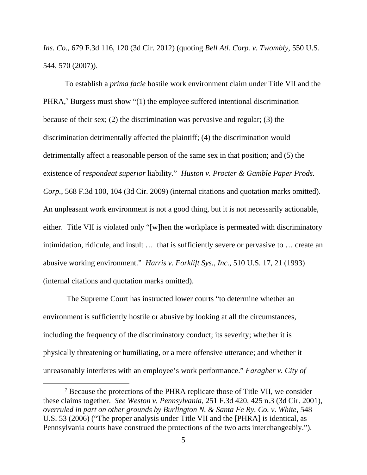*Ins. Co.*, 679 F.3d 116, 120 (3d Cir. 2012) (quoting *Bell Atl. Corp. v. Twombly*, 550 U.S. 544, 570 (2007)).

To establish a *prima facie* hostile work environment claim under Title VII and the PHRA,<sup>7</sup> Burgess must show "(1) the employee suffered intentional discrimination because of their sex; (2) the discrimination was pervasive and regular; (3) the discrimination detrimentally affected the plaintiff; (4) the discrimination would detrimentally affect a reasonable person of the same sex in that position; and (5) the existence of *respondeat superior* liability." *Huston v. Procter & Gamble Paper Prods. Corp.*, 568 F.3d 100, 104 (3d Cir. 2009) (internal citations and quotation marks omitted). An unpleasant work environment is not a good thing, but it is not necessarily actionable, either. Title VII is violated only "[w]hen the workplace is permeated with discriminatory intimidation, ridicule, and insult … that is sufficiently severe or pervasive to … create an abusive working environment." *Harris v. Forklift Sys., Inc.*, 510 U.S. 17, 21 (1993) (internal citations and quotation marks omitted).

 The Supreme Court has instructed lower courts "to determine whether an environment is sufficiently hostile or abusive by looking at all the circumstances, including the frequency of the discriminatory conduct; its severity; whether it is physically threatening or humiliating, or a mere offensive utterance; and whether it unreasonably interferes with an employee's work performance." *Faragher v. City of* 

 $\frac{1}{7}$  Because the protections of the PHRA replicate those of Title VII, we consider these claims together. *See Weston v. Pennsylvania*, 251 F.3d 420, 425 n.3 (3d Cir. 2001), *overruled in part on other grounds by Burlington N. & Santa Fe Ry. Co. v. White*, 548 U.S. 53 (2006) ("The proper analysis under Title VII and the [PHRA] is identical, as Pennsylvania courts have construed the protections of the two acts interchangeably.").